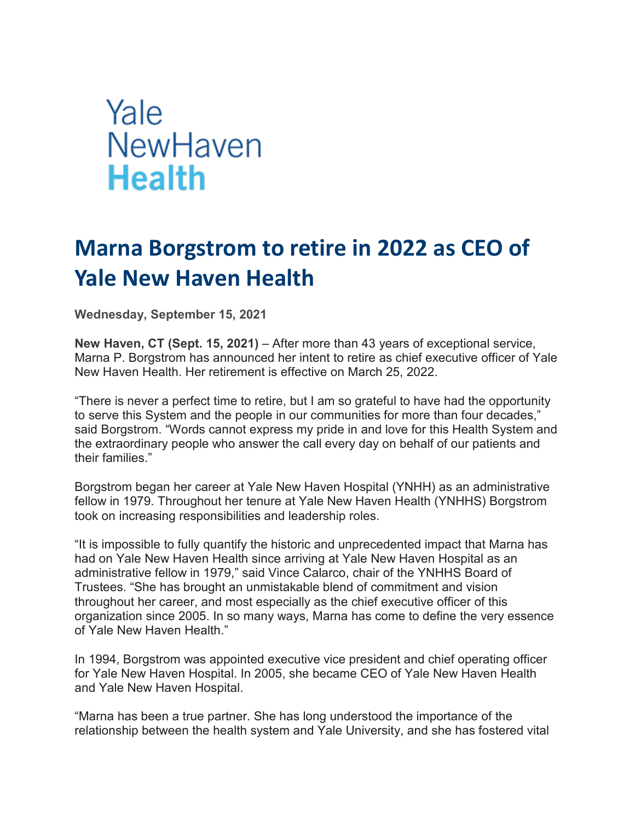## Yale NewHaven **Health**

## **Marna Borgstrom to retire in 2022 as CEO of Yale New Haven Health**

**Wednesday, September 15, 2021**

**New Haven, CT (Sept. 15, 2021)** – After more than 43 years of exceptional service, Marna P. Borgstrom has announced her intent to retire as chief executive officer of Yale New Haven Health. Her retirement is effective on March 25, 2022.

"There is never a perfect time to retire, but I am so grateful to have had the opportunity to serve this System and the people in our communities for more than four decades," said Borgstrom. "Words cannot express my pride in and love for this Health System and the extraordinary people who answer the call every day on behalf of our patients and their families."

Borgstrom began her career at Yale New Haven Hospital (YNHH) as an administrative fellow in 1979. Throughout her tenure at Yale New Haven Health (YNHHS) Borgstrom took on increasing responsibilities and leadership roles.

"It is impossible to fully quantify the historic and unprecedented impact that Marna has had on Yale New Haven Health since arriving at Yale New Haven Hospital as an administrative fellow in 1979," said Vince Calarco, chair of the YNHHS Board of Trustees. "She has brought an unmistakable blend of commitment and vision throughout her career, and most especially as the chief executive officer of this organization since 2005. In so many ways, Marna has come to define the very essence of Yale New Haven Health."

In 1994, Borgstrom was appointed executive vice president and chief operating officer for Yale New Haven Hospital. In 2005, she became CEO of Yale New Haven Health and Yale New Haven Hospital.

"Marna has been a true partner. She has long understood the importance of the relationship between the health system and Yale University, and she has fostered vital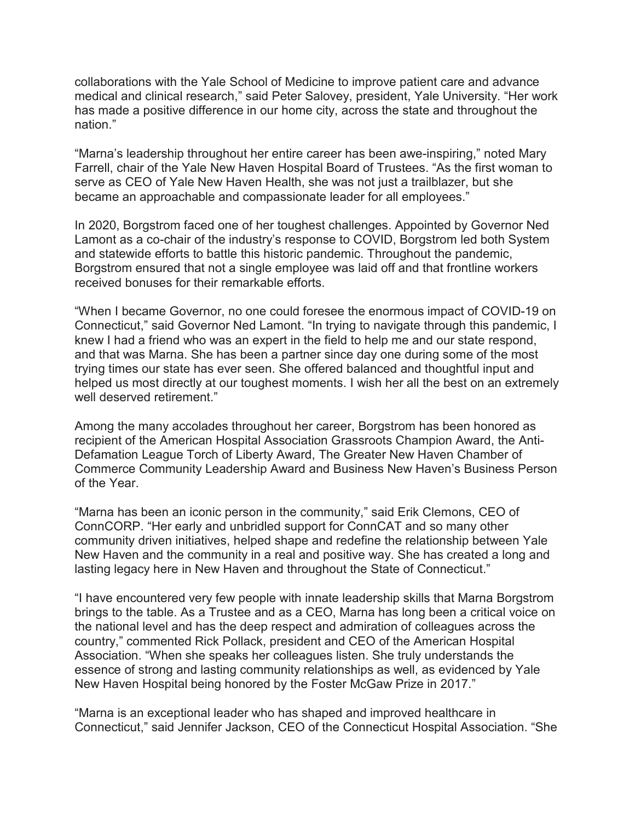collaborations with the Yale School of Medicine to improve patient care and advance medical and clinical research," said Peter Salovey, president, Yale University. "Her work has made a positive difference in our home city, across the state and throughout the nation."

"Marna's leadership throughout her entire career has been awe-inspiring," noted Mary Farrell, chair of the Yale New Haven Hospital Board of Trustees. "As the first woman to serve as CEO of Yale New Haven Health, she was not just a trailblazer, but she became an approachable and compassionate leader for all employees."

In 2020, Borgstrom faced one of her toughest challenges. Appointed by Governor Ned Lamont as a co-chair of the industry's response to COVID, Borgstrom led both System and statewide efforts to battle this historic pandemic. Throughout the pandemic, Borgstrom ensured that not a single employee was laid off and that frontline workers received bonuses for their remarkable efforts.

"When I became Governor, no one could foresee the enormous impact of COVID-19 on Connecticut," said Governor Ned Lamont. "In trying to navigate through this pandemic, I knew I had a friend who was an expert in the field to help me and our state respond, and that was Marna. She has been a partner since day one during some of the most trying times our state has ever seen. She offered balanced and thoughtful input and helped us most directly at our toughest moments. I wish her all the best on an extremely well deserved retirement."

Among the many accolades throughout her career, Borgstrom has been honored as recipient of the American Hospital Association Grassroots Champion Award, the Anti-Defamation League Torch of Liberty Award, The Greater New Haven Chamber of Commerce Community Leadership Award and Business New Haven's Business Person of the Year.

"Marna has been an iconic person in the community," said Erik Clemons, CEO of ConnCORP. "Her early and unbridled support for ConnCAT and so many other community driven initiatives, helped shape and redefine the relationship between Yale New Haven and the community in a real and positive way. She has created a long and lasting legacy here in New Haven and throughout the State of Connecticut."

"I have encountered very few people with innate leadership skills that Marna Borgstrom brings to the table. As a Trustee and as a CEO, Marna has long been a critical voice on the national level and has the deep respect and admiration of colleagues across the country," commented Rick Pollack, president and CEO of the American Hospital Association. "When she speaks her colleagues listen. She truly understands the essence of strong and lasting community relationships as well, as evidenced by Yale New Haven Hospital being honored by the Foster McGaw Prize in 2017."

"Marna is an exceptional leader who has shaped and improved healthcare in Connecticut," said Jennifer Jackson, CEO of the Connecticut Hospital Association. "She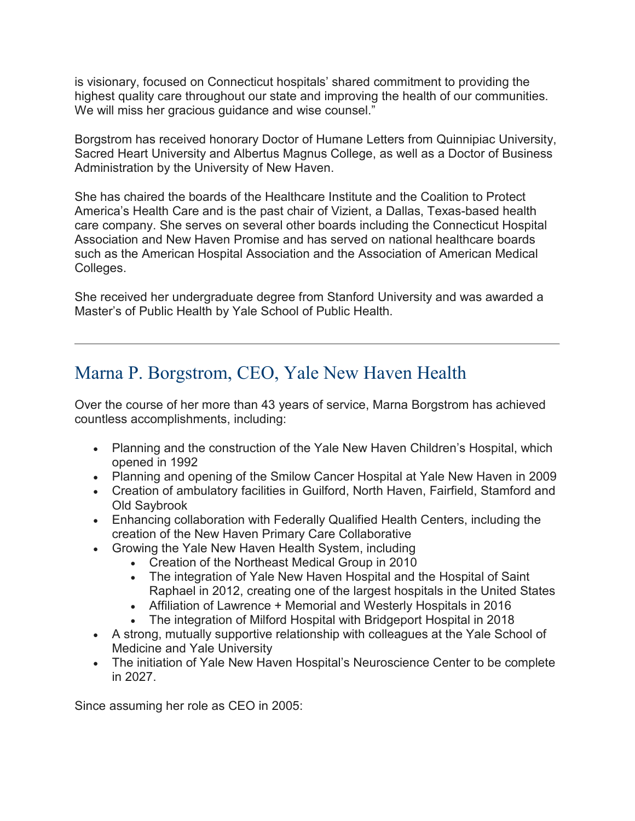is visionary, focused on Connecticut hospitals' shared commitment to providing the highest quality care throughout our state and improving the health of our communities. We will miss her gracious guidance and wise counsel."

Borgstrom has received honorary Doctor of Humane Letters from Quinnipiac University, Sacred Heart University and Albertus Magnus College, as well as a Doctor of Business Administration by the University of New Haven.

She has chaired the boards of the Healthcare Institute and the Coalition to Protect America's Health Care and is the past chair of Vizient, a Dallas, Texas-based health care company. She serves on several other boards including the Connecticut Hospital Association and New Haven Promise and has served on national healthcare boards such as the American Hospital Association and the Association of American Medical Colleges.

She received her undergraduate degree from Stanford University and was awarded a Master's of Public Health by Yale School of Public Health.

## Marna P. Borgstrom, CEO, Yale New Haven Health

Over the course of her more than 43 years of service, Marna Borgstrom has achieved countless accomplishments, including:

- Planning and the construction of the Yale New Haven Children's Hospital, which opened in 1992
- Planning and opening of the Smilow Cancer Hospital at Yale New Haven in 2009
- Creation of ambulatory facilities in Guilford, North Haven, Fairfield, Stamford and Old Saybrook
- Enhancing collaboration with Federally Qualified Health Centers, including the creation of the New Haven Primary Care Collaborative
- Growing the Yale New Haven Health System, including
	- Creation of the Northeast Medical Group in 2010
	- The integration of Yale New Haven Hospital and the Hospital of Saint Raphael in 2012, creating one of the largest hospitals in the United States
	- Affiliation of Lawrence + Memorial and Westerly Hospitals in 2016
	- The integration of Milford Hospital with Bridgeport Hospital in 2018
- A strong, mutually supportive relationship with colleagues at the Yale School of Medicine and Yale University
- The initiation of Yale New Haven Hospital's Neuroscience Center to be complete in 2027.

Since assuming her role as CEO in 2005: